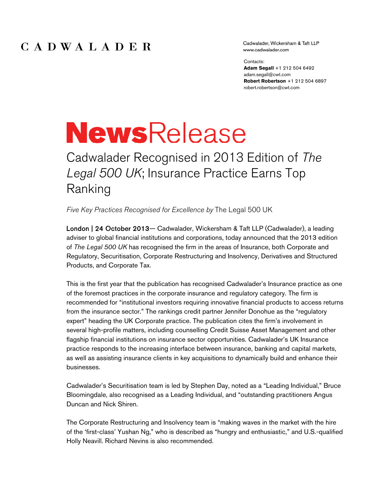Cadwalader, Wickersham & Taft LLP www.cadwalader.com

Contacts:

**Adam Segall** +1 212 504 6492 adam.segall@cwt.com **Robert Robertson** +1 212 504 6897 robert.robertson@cwt.com

## **NewsRelease**

Cadwalader Recognised in 2013 Edition of *The Legal 500 UK*; Insurance Practice Earns Top Ranking

*Five Key Practices Recognised for Excellence by* The Legal 500 UK

London | 24 October 2013— Cadwalader, Wickersham & Taft LLP (Cadwalader), a leading adviser to global financial institutions and corporations, today announced that the 2013 edition of *The Legal 500 UK* has recognised the firm in the areas of Insurance, both Corporate and Regulatory, Securitisation, Corporate Restructuring and Insolvency, Derivatives and Structured Products, and Corporate Tax.

This is the first year that the publication has recognised Cadwalader's Insurance practice as one of the foremost practices in the corporate insurance and regulatory category. The firm is recommended for "institutional investors requiring innovative financial products to access returns from the insurance sector." The rankings credit partner Jennifer Donohue as the "regulatory expert" heading the UK Corporate practice. The publication cites the firm's involvement in several high-profile matters, including counselling Credit Suisse Asset Management and other flagship financial institutions on insurance sector opportunities. Cadwalader's UK Insurance practice responds to the increasing interface between insurance, banking and capital markets, as well as assisting insurance clients in key acquisitions to dynamically build and enhance their businesses.

Cadwalader's Securitisation team is led by Stephen Day, noted as a "Leading Individual," Bruce Bloomingdale, also recognised as a Leading Individual, and "outstanding practitioners Angus Duncan and Nick Shiren.

The Corporate Restructuring and Insolvency team is "making waves in the market with the hire of the 'first-class' Yushan Ng," who is described as "hungry and enthusiastic," and U.S.-qualified Holly Neavill. Richard Nevins is also recommended.